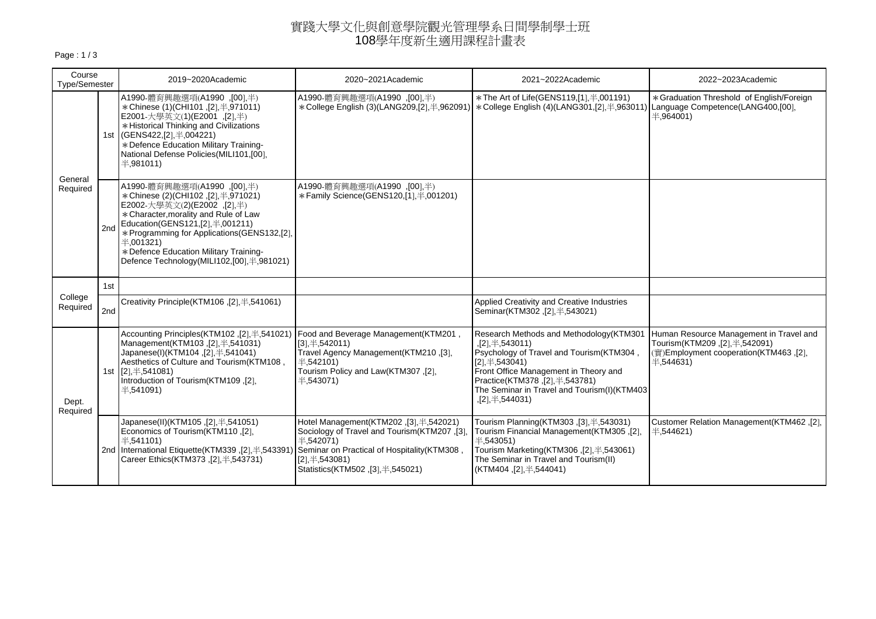### 實踐大學文化與創意學院觀光管理學系日間學制學士班 108學年度新生適用課程計畫表

| Course<br><b>Type/Semester</b> |     | 2019~2020Academic                                                                                                                                                                                                                                                                                                                                 | 2020~2021Academic                                                                                                                                                                                                       | 2021~2022Academic                                                                                                                                                                                                                                                                               | 2022~2023Academic                                                                                                              |
|--------------------------------|-----|---------------------------------------------------------------------------------------------------------------------------------------------------------------------------------------------------------------------------------------------------------------------------------------------------------------------------------------------------|-------------------------------------------------------------------------------------------------------------------------------------------------------------------------------------------------------------------------|-------------------------------------------------------------------------------------------------------------------------------------------------------------------------------------------------------------------------------------------------------------------------------------------------|--------------------------------------------------------------------------------------------------------------------------------|
|                                |     | A1990-體育興趣選項(A1990, [00]、半)<br>* Chinese (1)(CHI101, [2], #, 971011)<br>E2001-大學英文(1)(E2001, [2],半)<br><b>* Historical Thinking and Civilizations</b><br>1st (GENS422, [2], #, 004221)<br>* Defence Education Military Training-<br>National Defense Policies (MILI101, [00].<br>$\#$ ,981011)                                                    | A1990-體育興趣選項(A1990, [00].半)                                                                                                                                                                                             | * The Art of Life(GENS119,[1], #,001191)<br>*College English (3)(LANG209,[2], $\#$ ,962091)   *College English (4)(LANG301,[2], $\#$ ,963011)   Language Competence(LANG400,[00],                                                                                                               | * Graduation Threshold of English/Foreign<br>4.964001                                                                          |
| General<br>Required            | 2nc | A1990-體育興趣選項(A1990,[00],半)<br>* Chinese (2)(CHI102, [2], #,971021)<br> E2002-大學英文(2)(E2002, [2]、半)<br>* Character, morality and Rule of Law<br>Education(GENS121,[2],#,001211)<br>* Programming for Applications (GENS132, [2],<br>$\pm$ ,001321)<br>* Defence Education Military Training-<br>Defence Technology(MILI102, [00], \times 4.981021) | A1990-體育興趣選項(A1990,[00],半)<br>* Family Science(GENS120,[1], ¥,001201)                                                                                                                                                   |                                                                                                                                                                                                                                                                                                 |                                                                                                                                |
|                                | 1st |                                                                                                                                                                                                                                                                                                                                                   |                                                                                                                                                                                                                         |                                                                                                                                                                                                                                                                                                 |                                                                                                                                |
| College<br>Required            | 2nd | Creativity Principle(KTM106,[2], $\neq$ ,541061)                                                                                                                                                                                                                                                                                                  |                                                                                                                                                                                                                         | Applied Creativity and Creative Industries<br>Seminar(KTM302, [2], $\neq$ , 543021)                                                                                                                                                                                                             |                                                                                                                                |
| Dept.<br>Required              |     | Accounting Principles(KTM102,[2], #,541021)<br>Management(KTM103,[2], $\neq$ , 541031)<br>Japanese(I)(KTM104, [2], $\neq$ , 541041)<br>Aesthetics of Culture and Tourism (KTM108,<br>1st [2], 半, 541081)<br>Introduction of Tourism(KTM109,[2],<br>#.541091                                                                                       | Food and Beverage Management(KTM201,<br>$[3], \pm$ , 542011)<br>Travel Agency Management(KTM210,[3],<br>4.542101<br>Tourism Policy and Law(KTM307,[2],<br>4,543071                                                      | Research Methods and Methodology (KTM301<br>$, [2], \pm, 543011)$<br>Psychology of Travel and Tourism(KTM304,<br>$[2]$ $\neq$ 543041)<br>Front Office Management in Theory and<br>Practice(KTM378, [2], $\neq$ , 543781)<br>The Seminar in Travel and Tourism(I)(KTM403)<br>,[2], $\#$ ,544031) | Human Resource Management in Travel and<br>Tourism(KTM209,[2], #,542091)<br>(實)Employment cooperation(KTM463, [2].<br>4.544631 |
|                                |     | Japanese(II)(KTM105, [2], $\#$ , 541051)<br>[2], Economics of Tourism(KTM110)<br>#, 541101)<br>2nd International Etiquette(KTM339,[2], $\neq$ ,543391<br>Career Ethics(KTM373, [2], $\neq$ , 543731)                                                                                                                                              | Hotel Management(KTM202,[3], \pddl, 542021)<br>Sociology of Travel and Tourism (KTM207, [3].<br>4.542071<br>Seminar on Practical of Hospitality (KTM308,<br>$[2], \pm 543081$<br>Statistics(KTM502,[3], $\neq$ ,545021) | Tourism Planning(KTM303,[3], \pdf., 543031)<br>Tourism Financial Management (KTM305, [2],<br>$\pm$ ,543051)<br>Tourism Marketing(KTM306, [2], \pdf-543061)<br>The Seminar in Travel and Tourism(II)<br>(KTM404, [2], $\#$ , 544041)                                                             | Customer Relation Management(KTM462,[2],<br>4.544621                                                                           |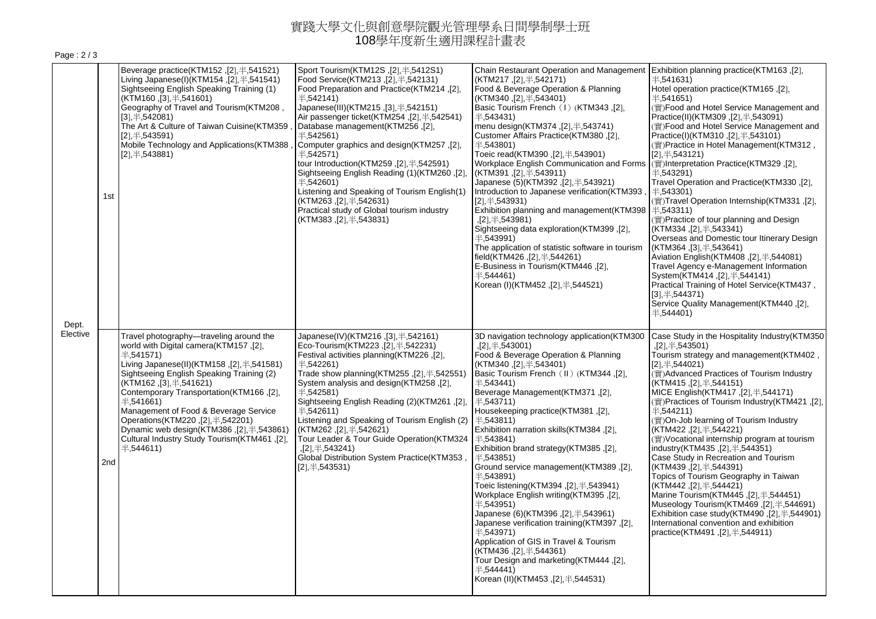# 實踐大學文化與創意學院觀光管理學系日間學制學士班 108學年度新生適用課程計畫表

Page : 2 / 3

| -9 - - - - <del>-</del> | Beverage practice(KTM152, [2], $\neq$ , 541521)<br>Living Japanese(I)(KTM154, $[2]$ , $\#$ , 541541)<br>Sightseeing English Speaking Training (1)<br>(KTM160, [3], $\#$ , 541601)<br>Geography of Travel and Tourism(KTM208,<br>$[3]$ $\#$ , 542081)<br>The Art & Culture of Taiwan Cuisine (KTM359)<br>$[2]$ $\pm$ 543591)<br>Mobile Technology and Applications(KTM388<br>[2],半,543881)<br>1st                                                                                                                 | Sport Tourism(KTM12S, [2], $\neq$ , 5412S1)<br>Food Service(KTM213, [2], \pdf .542131)<br>Food Preparation and Practice(KTM214,[2],<br>4.542141<br>Japanese(III)(KTM215, [3], #, 542151)<br>Air passenger ticket(KTM254, $[2]$ , $\#$ , 542541)<br>Database management(KTM256, [2],<br>半,542561)<br>Computer graphics and design (KTM257, [2].<br>4.542571<br>tour Introduction(KTM259,[2], $\neq$ ,542591)<br>Sightseeing English Reading (1)(KTM260, [2],<br>$\pm .542601)$<br>Listening and Speaking of Tourism English(1)<br>(KTM263, [2], ¥, 542631)<br>Practical study of Global tourism industry<br>(KTM383,[2], #,543831) | Chain Restaurant Operation and Management<br>(KTM217, [2], ¥, 542171)<br>Food & Beverage Operation & Planning<br>(KTM340, [2], $\#$ , 543401)<br>Basic Tourism French (1) (KTM343,[2],<br>半.543431)<br>menu design(KTM374, [2], $\#$ , 543741)<br>Customer Affairs Practice(KTM380, [2],<br>4.543801<br>Toeic read(KTM390,[2], $\#$ ,543901)<br>Workplace English Communication and Forms<br>(KTM391, [2], $\#$ , 543911)<br>Japanese (5)(KTM392 ,[2],半,543921)<br>Introduction to Japanese verification (KTM393)<br>[2],半,543931)<br>Exhibition planning and management(KTM398<br>,[2], $\#$ ,543981)<br>Sightseeing data exploration(KTM399, [2],<br>半.543991)<br>The application of statistic software in tourism<br>field(KTM426, [2], $\#$ , 544261)<br>E-Business in Tourism(KTM446, [2],<br>半,544461)<br>Korean (I)(KTM452, [2], $\neq$ , 544521)                                | [2], Exhibition planning practice(KTM163)<br>半.541631)<br>Hotel operation practice (KTM165, [2].<br>半.541651)<br>(實)Food and Hotel Service Management and<br>Practice(II)(KTM309, [2], $\neq$ , 543091)<br>(實)Food and Hotel Service Management and<br>Practice(I)(KTM310, [2], $\#$ , 543101)<br>(實)Practice in Hotel Management(KTM312,<br>$[2], \pm$ , 543121)<br>(實)Interpretation Practice(KTM329,[2],<br>$\pm$ ,543291)<br>Travel Operation and Practice(KTM330, [2],<br>4.543301<br>(宮)Travel Operation Internship(KTM331, [2],<br>$\pm .543311$<br>(實)Practice of tour planning and Design<br>(KTM334 ,[2],半,543341)<br>Overseas and Domestic tour Itinerary Design<br>(KTM364, [3], ¥, 543641)<br>Aviation English(KTM408, [2], $\neq$ , 544081)<br>Travel Agency e-Management Information<br>System(KTM414, [2], #, 544141)<br>Practical Training of Hotel Service(KTM437,<br>$[3]$ $\#$ , 544371)<br>Service Quality Management (KTM440, [2],<br>$\pm .544401$ |
|-------------------------|------------------------------------------------------------------------------------------------------------------------------------------------------------------------------------------------------------------------------------------------------------------------------------------------------------------------------------------------------------------------------------------------------------------------------------------------------------------------------------------------------------------|-----------------------------------------------------------------------------------------------------------------------------------------------------------------------------------------------------------------------------------------------------------------------------------------------------------------------------------------------------------------------------------------------------------------------------------------------------------------------------------------------------------------------------------------------------------------------------------------------------------------------------------|-----------------------------------------------------------------------------------------------------------------------------------------------------------------------------------------------------------------------------------------------------------------------------------------------------------------------------------------------------------------------------------------------------------------------------------------------------------------------------------------------------------------------------------------------------------------------------------------------------------------------------------------------------------------------------------------------------------------------------------------------------------------------------------------------------------------------------------------------------------------------------------------|---------------------------------------------------------------------------------------------------------------------------------------------------------------------------------------------------------------------------------------------------------------------------------------------------------------------------------------------------------------------------------------------------------------------------------------------------------------------------------------------------------------------------------------------------------------------------------------------------------------------------------------------------------------------------------------------------------------------------------------------------------------------------------------------------------------------------------------------------------------------------------------------------------------------------------------------------------------------------|
| Dept.<br>Elective       | Travel photography—traveling around the<br>world with Digital camera (KTM157, [2],<br>$\pm$ ,541571)<br>Living Japanese(II)(KTM158, [2], \pdots, 541581)<br>Sightseeing English Speaking Training (2)<br>(KTM162,[3],半,541621)<br>Contemporary Transportation (KTM166, [2],<br>$\pm$ ,541661)<br>Management of Food & Beverage Service<br>Operations(KTM220, [2], $\neq$ , 542201)<br>Dynamic web design(KTM386, [2], $\neq$ , 543861)<br>Cultural Industry Study Tourism (KTM461, [2],<br>$\pm$ ,544611)<br>2nd | (542161.)KTM216, Japanese(IV)(KTM216<br>Eco-Tourism(KTM223, [2], \pith_542231)<br>Festival activities planning (KTM226, [2],<br>4.542261<br>(542551, Trade show planning(KTM255)<br>System analysis and design(KTM258, [2],<br>$\pm$ ,542581)<br>Sightseeing English Reading (2)(KTM261, [2],<br>$\pm .542611)$<br>Listening and Speaking of Tourism English (2)<br>(KTM262 ,[2],半,542621)<br>Tour Leader & Tour Guide Operation(KTM324<br>,[2], $\#$ ,543241)<br>Global Distribution System Practice(KTM353,<br>$[2], \pm$ , 543531)                                                                                             | 3D navigation technology application (KTM300)<br>,[2], $\#$ ,543001)<br>Food & Beverage Operation & Planning<br>(KTM340, [2], $\#$ , 543401)<br>Basic Tourism French (II) (KTM344,[2],<br>半.543441)<br>Beverage Management (KTM371, [2],<br>$\pm .543711$<br>Housekeeping practice(KTM381,[2],<br>$\pm$ ,543811)<br>Exhibition narration skills(KTM384, [2],<br>4.543841<br>Exhibition brand strategy(KTM385,[2],<br>半.543851)<br>Ground service management (KTM389, [2],<br>$\pm .543891)$<br>Toeic listening(KTM394, [2], \pideolignational S<br>Workplace English writing (KTM395, [2],<br>4.543951<br>(543961.Napanese (6)(KTM396 ,[2], #<br>Japanese verification training (KTM397, [2],<br>1.543971)<br>Application of GIS in Travel & Tourism<br>(KTM436, [2], $\#$ , 544361)<br>Tour Design and marketing (KTM444, [2],<br>半.544441)<br>Korean (II)(KTM453, [2], $\#$ , 544531) | Case Study in the Hospitality Industry(KTM350)<br>,[2], $\#$ ,543501)<br>Tourism strategy and management(KTM402,<br>$[2], \pm$ , 544021)<br>(實) Advanced Practices of Tourism Industry<br>(KTM415, [2], $\#$ , 544151)<br>MICE English(KTM417, [2], $\neq$ , 544171)<br>(實)Practices of Tourism Industry(KTM421, [2]<br>半.544211)<br>(實)On-Job learning of Tourism Industry<br>(KTM422, [2], ¥,544221)<br>(實)Vocational internship program at tourism<br>industry(KTM435, [2], $\#$ , 544351)<br>Case Study in Recreation and Tourism<br>(KTM439, [2], ¥, 544391)<br>Topics of Tourism Geography in Taiwan<br>(KTM442, [2], ¥, 544421)<br>Marine Tourism(KTM445, [2], #, 544451)<br>Museology Tourism(KTM469, [2], $\neq$ , 544691)<br>Exhibition case study (KTM490, $[2]$ , $\neq$ , 544901)<br>International convention and exhibition<br>practice(KTM491, [2], $\#$ , 544911)                                                                                         |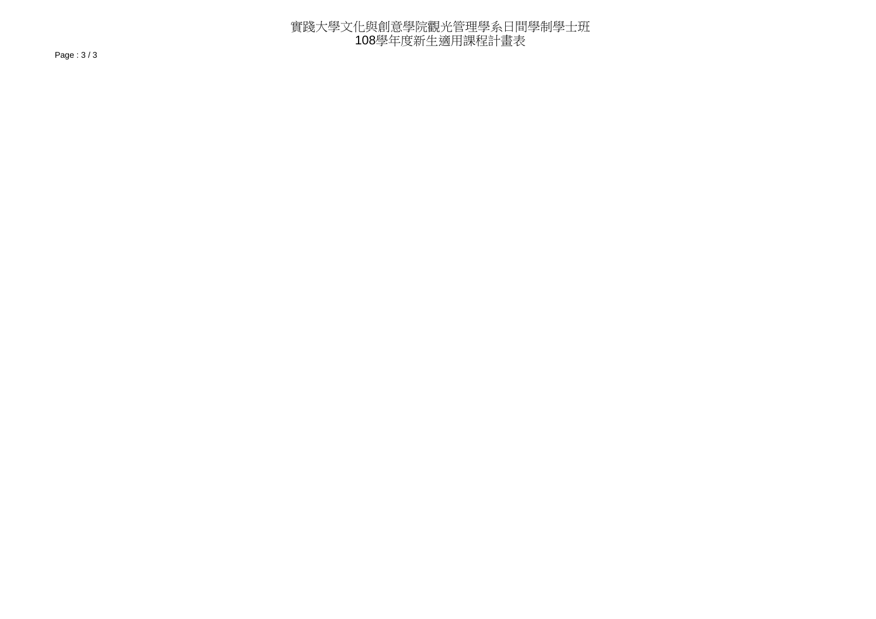### 實踐大學文化與創意學院觀光管理學系日間學制學士班 108學年度新生適用課程計畫表

Page : 3 / 3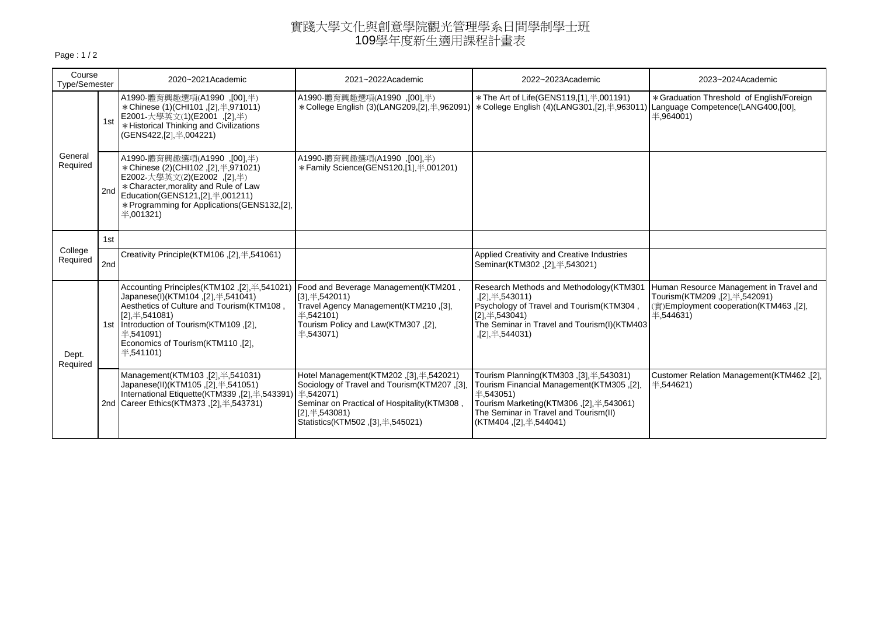## 實踐大學文化與創意學院觀光管理學系日間學制學士班 109學年度新生適用課程計畫表

| Course<br><b>Type/Semester</b> |                 | 2020~2021Academic                                                                                                                                                                                                                                                                  | 2021~2022Academic                                                                                                                                                                                                  | 2022~2023Academic                                                                                                                                                                                                           | 2023~2024Academic                                                                                                                            |
|--------------------------------|-----------------|------------------------------------------------------------------------------------------------------------------------------------------------------------------------------------------------------------------------------------------------------------------------------------|--------------------------------------------------------------------------------------------------------------------------------------------------------------------------------------------------------------------|-----------------------------------------------------------------------------------------------------------------------------------------------------------------------------------------------------------------------------|----------------------------------------------------------------------------------------------------------------------------------------------|
|                                | 1 <sub>st</sub> | A1990-體育興趣選項(A1990,[00],半)<br>* Chinese (1) (CHI101, [2], $\#$ , 971011)<br> E2001-大學英文(1)(E2001, [2],半)<br>* Historical Thinking and Civilizations<br>(GENS422, [2], 半, 004221)                                                                                                   | A1990-體育興趣選項(A1990, [00]、半)                                                                                                                                                                                        | * The Art of Life (GENS119, [1], 半, 001191)<br>*College English (3)(LANG209,[2], $\#$ ,962091)   *College English (4)(LANG301,[2], $\#$ ,963011)   Language Competence(LANG400,[00],                                        | * Graduation Threshold of English/Foreign<br>4.964001                                                                                        |
| General<br>Required            | 2nd             | A1990-體育興趣選項(A1990,[00],半)<br>* Chinese (2) (CHI102, [2], $\#$ , 971021)<br>E2002-大學英文(2)(E2002, [2].半)<br>* Character, morality and Rule of Law<br>Education(GENS121,[2], #,001211)<br>* Programming for Applications (GENS132, [2],<br>$\pm$ ,001321)                            | A1990-體育興趣選項(A1990, [00]、半) <br>* Family Science(GENS120,[1], \#1,001201)                                                                                                                                          |                                                                                                                                                                                                                             |                                                                                                                                              |
|                                | 1st             |                                                                                                                                                                                                                                                                                    |                                                                                                                                                                                                                    |                                                                                                                                                                                                                             |                                                                                                                                              |
| College<br>Required            | 2nd             | Creativity Principle(KTM106,[2], $\neq$ ,541061)                                                                                                                                                                                                                                   |                                                                                                                                                                                                                    | Applied Creativity and Creative Industries<br>Seminar(KTM302, [2], $\neq$ , 543021)                                                                                                                                         |                                                                                                                                              |
| Dept.<br>Required              |                 | Accounting Principles(KTM102, [2], \#.541021)<br>Japanese(I)(KTM104, [2], $\neq$ , 541041)<br>Aesthetics of Culture and Tourism (KTM108,<br>$[2]$ , $\#$ ,541081)<br>1st   Introduction of Tourism (KTM109, [2],<br>#541091<br>.[2], Economics of Tourism(KTM110<br>$\pm$ ,541101) | Food and Beverage Management(KTM201,<br>$[3]$ $\pm$ 542011)<br>Travel Agency Management(KTM210,[3],<br>4.542101<br>Tourism Policy and Law(KTM307,[2],<br>4,543071                                                  | Research Methods and Methodology (KTM301<br>,I21, 43011)<br>Psychology of Travel and Tourism(KTM304,<br>$[2], \pm 543041$<br>The Seminar in Travel and Tourism(I)(KTM403<br>,[2], $\#$ ,544031)                             | Human Resource Management in Travel and<br>Tourism(KTM209, [2], $\neq$ , 542091)<br>(實)Employment cooperation(KTM463, [2],<br>$\pm$ ,544631) |
|                                |                 | Management(KTM103, [2], $\#$ , 541031)<br>Japanese(II)(KTM105,[2], $\neq$ ,541051)<br> International Etiquette(KTM339, [2], \times 543391)   \times 542071)<br>2nd Career Ethics(KTM373, [2], \#, 543731)                                                                          | Hotel Management(KTM202, [3], \piddle 542021)<br>Sociology of Travel and Tourism (KTM207, [3],<br>Seminar on Practical of Hospitality (KTM308,<br>$[2]$ $\#$ , 543081)<br>Statistics(KTM502, [3], $\neq$ , 545021) | Tourism Planning(KTM303, [3], \pdf. 543031)<br>Tourism Financial Management(KTM305,[2],<br>$\pm$ ,543051)<br>Tourism Marketing(KTM306, [2], #, 543061)<br>The Seminar in Travel and Tourism(II)<br>(KTM404, [2], ¥, 544041) | Customer Relation Management(KTM462,[2],<br>4,544621                                                                                         |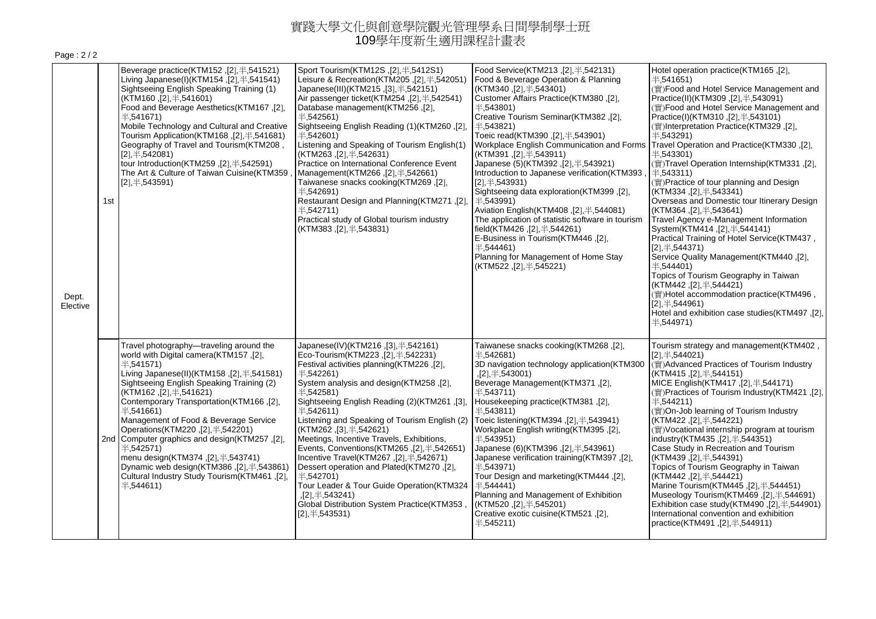# 實踐大學文化與創意學院觀光管理學系日間學制學士班 109學年度新生適用課程計畫表

 $P_{\text{A}}(P \cdot 2)$ 

| $\mathbf{u} \mathbf{y}$ $\mathbf{v} \cdot \mathbf{r}$ |     |                                                                                                                                                                                                                                                                                                                                                                                                                                                                                                                                                                                            |                                                                                                                                                                                                                                                                                                                                                                                                                                                                                                                                                                                                                                                                                                                                        |                                                                                                                                                                                                                                                                                                                                                                                                                                                                                                                                                                                                                                                                                                                                                                                           |                                                                                                                                                                                                                                                                                                                                                                                                                                                                                                                                                                                                                                                                                                                                                                                                                                                                                                                                                                             |
|-------------------------------------------------------|-----|--------------------------------------------------------------------------------------------------------------------------------------------------------------------------------------------------------------------------------------------------------------------------------------------------------------------------------------------------------------------------------------------------------------------------------------------------------------------------------------------------------------------------------------------------------------------------------------------|----------------------------------------------------------------------------------------------------------------------------------------------------------------------------------------------------------------------------------------------------------------------------------------------------------------------------------------------------------------------------------------------------------------------------------------------------------------------------------------------------------------------------------------------------------------------------------------------------------------------------------------------------------------------------------------------------------------------------------------|-------------------------------------------------------------------------------------------------------------------------------------------------------------------------------------------------------------------------------------------------------------------------------------------------------------------------------------------------------------------------------------------------------------------------------------------------------------------------------------------------------------------------------------------------------------------------------------------------------------------------------------------------------------------------------------------------------------------------------------------------------------------------------------------|-----------------------------------------------------------------------------------------------------------------------------------------------------------------------------------------------------------------------------------------------------------------------------------------------------------------------------------------------------------------------------------------------------------------------------------------------------------------------------------------------------------------------------------------------------------------------------------------------------------------------------------------------------------------------------------------------------------------------------------------------------------------------------------------------------------------------------------------------------------------------------------------------------------------------------------------------------------------------------|
| Dept.<br>Elective                                     | 1st | Beverage practice(KTM152, [2], \#, 541521)<br>Living Japanese(I)(KTM154, [2], $\neq$ , 541541)<br>Sightseeing English Speaking Training (1)<br>(KTM160,[2], #,541601)<br>Food and Beverage Aesthetics(KTM167,[2],<br>$\pm$ ,541671)<br>Mobile Technology and Cultural and Creative<br>Tourism Application(KTM168, [2], \pdf., 541681)<br>Geography of Travel and Tourism (KTM208,<br>$[2], \pm, 542081)$<br>tour Introduction(KTM259,[2], $\neq$ ,542591)<br>The Art & Culture of Taiwan Cuisine(KTM359,<br>[2],半,543591)                                                                  | Sport Tourism(KTM12S, [2], \pm .5412S1)<br>Leisure & Recreation(KTM205, [2], \pdf. 542051)<br>Japanese(III)(KTM215, [3], $\neq$ , 542151)<br>Air passenger ticket(KTM254 ,[2], \timessum passenger ticket(KTM254 ,[2], \timessum passenger<br>Database management(KTM256, [2],<br>$\pm .542561)$<br>Sightseeing English Reading (1)(KTM260,[2],<br>$\ddagger$ ,542601)<br>Listening and Speaking of Tourism English(1)<br>(KTM263, [2], ¥, 542631)<br>Practice on International Conference Event<br>Management(KTM266, [2], $\#$ , 542661)<br>Taiwanese snacks cooking (KTM269, [2],<br>4.542691<br>Restaurant Design and Planning (KTM271, [2],<br>4.542711<br>Practical study of Global tourism industry<br>(KTM383, [2], ¥, 543831) | Food Service(KTM213, [2], $\neq$ , 542131)<br>Food & Beverage Operation & Planning<br>(KTM340,[2], ¥,543401)<br>Customer Affairs Practice(KTM380, [2],<br>半.543801)<br>Creative Tourism Seminar(KTM382,[2],<br>4.543821<br>Toeic read(KTM390, [2], \piddia-543901)<br>Workplace English Communication and Forms<br>(KTM391,[2], #,543911)<br>Japanese (5)(KTM392, [2], $\neq$ , 543921)<br>Introduction to Japanese verification(KTM393,<br>$[2]$ , $\#$ , 543931)<br>Sightseeing data exploration(KTM399,[2],<br>4,543991<br>Aviation English(KTM408,[2], $\neq$ ,544081)<br>The application of statistic software in tourism<br>field(KTM426, [2], $\#$ , 544261)<br>E-Business in Tourism(KTM446, [2],<br>半.544461)<br>Planning for Management of Home Stay<br>(KTM522, [2], #,545221) | Hotel operation practice(KTM165,[2],<br>4.541651<br>(實)Food and Hotel Service Management and<br>Practice(II)(KTM309,[2], #,543091)<br>(實) Food and Hotel Service Management and<br>Practice(I)(KTM310, [2], $\neq$ , 543101)<br>(實)Interpretation Practice(KTM329,[2],<br>4,543291<br>Travel Operation and Practice(KTM330,[2],<br>$#$ ,543301)<br>(實)Travel Operation Internship(KTM331,[2],<br>#, 543311)<br>(實)Practice of tour planning and Design<br>(KTM334 ,[2], ¥,543341)<br>Overseas and Domestic tour Itinerary Design<br>(KTM364 ,[2], ¥,543641)<br>Travel Agency e-Management Information<br>System(KTM414, [2], \#, 544141)<br>Practical Training of Hotel Service(KTM437,<br>$[2], \pm, 544371$<br>Service Quality Management(KTM440,[2],<br>半,544401)<br>Topics of Tourism Geography in Taiwan<br>(KTM442 ,[2], ¥,544421)<br>(實)Hotel accommodation practice(KTM496,<br>$[2]$ , $\pm$ ,544961)<br>Hotel and exhibition case studies(KTM497,[2],<br>半.544971) |
|                                                       |     | Travel photography-traveling around the<br>world with Digital camera(KTM157,[2],<br>4.541571<br>Living Japanese(II)(KTM158, [2], $\neq$ , 541581)<br>Sightseeing English Speaking Training (2)<br>(KTM162,[2], #,541621)<br>Contemporary Transportation(KTM166,[2],<br>4.541661<br>Management of Food & Beverage Service<br>Operations(KTM220, [2], $\neq$ , 542201)<br>2nd Computer graphics and design(KTM257,[2],<br>#542571<br>menu design(KTM374 ,[2], $\#$ , 543741)<br>Dynamic web design(KTM386, [2], \piddig.543861)<br>.[2], Cultural Industry Study Tourism (KTM461<br>4,544611 | Japanese(IV)(KTM216,[3], $\neq$ ,542161)<br>Eco-Tourism(KTM223,[2], #,542231)<br>Festival activities planning (KTM226, [2],<br>$\pm$ ,542261)<br>System analysis and design(KTM258, [2],<br>4.542581<br>Sightseeing English Reading (2)(KTM261,[3],<br>4.542611<br>Listening and Speaking of Tourism English (2)<br>(KTM262, [3], $\#$ , 542621)<br>Meetings, Incentive Travels, Exhibitions,<br>Events, Conventions(KTM265,[2], #,542651)<br>Incentive Travel(KTM267, [2], #, 542671)<br>Dessert operation and Plated(KTM270,[2],<br>4,542701<br>Tour Leader & Tour Guide Operation(KTM324<br>,[2], $\#$ ,543241)<br>Global Distribution System Practice(KTM353,<br>$[2],$ $\#$ , 543531)                                             | Taiwanese snacks cooking(KTM268,[2],<br>4.542681<br>3D navigation technology application(KTM300<br>,[2], $\#$ ,543001)<br>Beverage Management(KTM371,[2],<br>4.543711<br>Housekeeping practice(KTM381,[2],<br>4.543811<br>Toeic listening(KTM394,[2], #,543941)<br>.[2], Workplace English writing(KTM395<br>半.543951)<br>Japanese (6)(KTM396, [2], $\#$ , 543961)<br>Japanese verification training (KTM397, [2],<br>4.543971<br>Tour Design and marketing(KTM444, [2],<br>4.544441<br>Planning and Management of Exhibition<br>(KTM520, [2], $\#$ , 545201)<br>Creative exotic cuisine (KTM521, [2],<br>4,545211                                                                                                                                                                        | Tourism strategy and management(KTM402,<br>[2], $\neq$ , 544021)<br>(實) Advanced Practices of Tourism Industry<br>(KTM415, [2], $\#$ , 544151)<br>MICE English(KTM417, [2], $\#$ , 544171)<br>(實)Practices of Tourism Industry(KTM421, [2],<br>半.544211)<br>(實) On-Job learning of Tourism Industry<br>(KTM422, [2], ¥, 544221)<br>(實) Vocational internship program at tourism<br>industry(KTM435,[2], $\neq$ , 544351)<br>Case Study in Recreation and Tourism<br>(KTM439, [2], ¥, 544391)<br>Topics of Tourism Geography in Taiwan<br>(KTM442, [2], $\#$ , 544421)<br>Marine Tourism(KTM445, [2], \#, 544451)<br>Museology Tourism(KTM469, [2], \pdf .544691)<br>Exhibition case study (KTM490, $[2]$ , $\#$ , 544901)<br>International convention and exhibition<br>practice(KTM491,[2], $\#$ , 544911)                                                                                                                                                                 |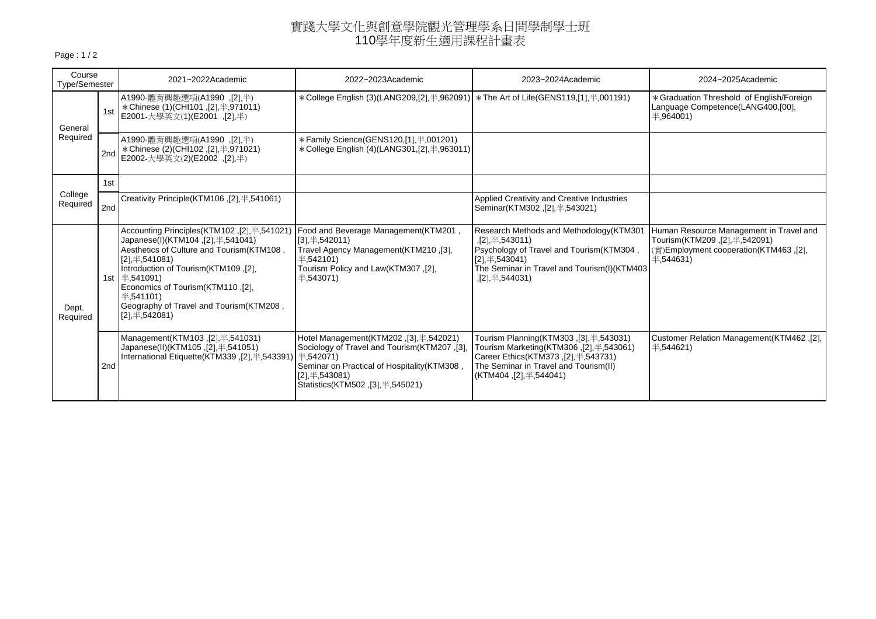### 實踐大學文化與創意學院觀光管理學系日間學制學士班 110學年度新生適用課程計畫表

| Course<br><b>Type/Semester</b> |                 | 2021~2022Academic                                                                                                                                                                                                                                                                                                                             | 2022~2023Academic                                                                                                                                                                                                             | 2023~2024Academic                                                                                                                                                                                               | 2024~2025Academic                                                                                                                       |
|--------------------------------|-----------------|-----------------------------------------------------------------------------------------------------------------------------------------------------------------------------------------------------------------------------------------------------------------------------------------------------------------------------------------------|-------------------------------------------------------------------------------------------------------------------------------------------------------------------------------------------------------------------------------|-----------------------------------------------------------------------------------------------------------------------------------------------------------------------------------------------------------------|-----------------------------------------------------------------------------------------------------------------------------------------|
| General<br>Required            | 1st             | A1990-體育興趣選項(A1990, [2]、半) <br>kChinese (1)(CHI101,[2],#,971011)<br>E2001-大學英文(1)(E2001,[2],半)                                                                                                                                                                                                                                                | $\star$ College English (3)(LANG209,[2], $\#$ ,962091) $\star$ The Art of Life(GENS119,[1], $\#$ ,001191)                                                                                                                     |                                                                                                                                                                                                                 | * Graduation Threshold of English/Foreign<br>Language Competence(LANG400,[00],<br>4.964001                                              |
|                                |                 | A1990-體育興趣選項(A1990, [2]、半)<br>kChinese (2)(CHI102,[2], #,971021)                                                                                                                                                                                                                                                                              | $*$ Family Science(GENS120,[1], $\neq$ ,001201)<br>* College English (4)(LANG301, [2], $\#$ , 963011)                                                                                                                         |                                                                                                                                                                                                                 |                                                                                                                                         |
|                                | 1st             |                                                                                                                                                                                                                                                                                                                                               |                                                                                                                                                                                                                               |                                                                                                                                                                                                                 |                                                                                                                                         |
| College<br>Required            | 2 <sub>nd</sub> | Creativity Principle(KTM106,[2], #,541061)                                                                                                                                                                                                                                                                                                    |                                                                                                                                                                                                                               | Applied Creativity and Creative Industries<br>Seminar(KTM302, [2], $\neq$ , 543021)                                                                                                                             |                                                                                                                                         |
| Dept.<br>Required              |                 | Accounting Principles(KTM102,[2], #,541021)<br>Japanese(I)(KTM104, [2], $\neq$ , 541041)<br>Aesthetics of Culture and Tourism (KTM108,<br>$[2]$ $\#$ , 541081)<br>Introduction of Tourism(KTM109,[2],<br>1st  半,541091)<br>Economics of Tourism (KTM110, [2].<br>4.541101<br>Geography of Travel and Tourism (KTM208,<br>$[2]$ $\#$ , 542081) | Food and Beverage Management (KTM201,<br>$[3],$ $\#$ ,542011)<br>Travel Agency Management(KTM210, [3],<br>$\pm .542101$<br>.[2], Tourism Policy and Law(KTM307<br>4.543071                                                    | Research Methods and Methodology (KTM301<br>$, [2], \pm, 543011)$<br>Psychology of Travel and Tourism(KTM304,<br>$[2], \pm$ , 543041)<br>The Seminar in Travel and Tourism(I)(KTM403)<br>$, [2]$ $\#$ , 544031) | Human Resource Management in Travel and<br>Tourism(KTM209, [2], \piddle 542091)<br>(實) Employment cooperation (KTM463, [2].<br>4.544631 |
|                                | 2nd             | Management(KTM103,[2], #,541031)<br>Japanese(II)(KTM105,[2], $\neq$ , 541051)<br>(1,43391). International Etiquette (KTM339, [2]                                                                                                                                                                                                              | Hotel Management(KTM202, [3], 半, 542021)<br>Sociology of Travel and Tourism(KTM207,[3],<br>$\pm$ ,542071)<br>Seminar on Practical of Hospitality (KTM308,<br>$[2]$ $\#$ , 543081)<br>Statistics(KTM502, [3], $\neq$ , 545021) | Tourism Planning(KTM303, [3], \#, 543031)<br>Tourism Marketing (KTM306, [2], \piddle 543061)<br>Career Ethics(KTM373,[2], #, 543731)<br>The Seminar in Travel and Tourism(II)<br>(KTM404 , [2], $\#$ , 544041)  | Customer Relation Management(KTM462,[2],<br>4,544621                                                                                    |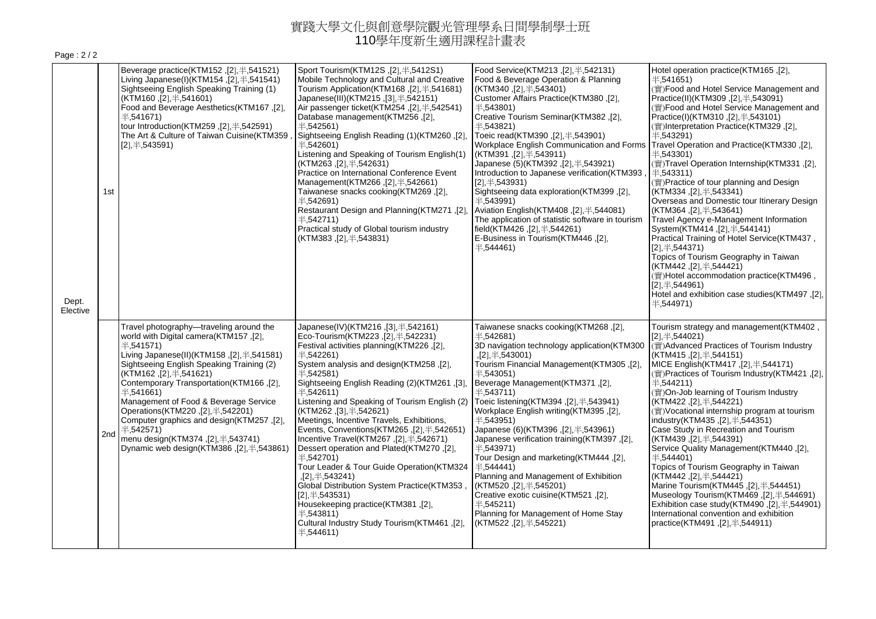# 實踐大學文化與創意學院觀光管理學系日間學制學士班 110學年度新生適用課程計畫表

Page : 2 / 2

| Dept.<br>Elective | 1st             | Beverage practice(KTM152, [2], \#, 541521)<br>Living Japanese(I)(KTM154 ,[2],半,541541)<br>Sightseeing English Speaking Training (1)<br>(KTM160, [2], $\#$ , 541601)<br>Food and Beverage Aesthetics(KTM167,[2],<br>4,541671<br>tour Introduction(KTM259,[2], $\neq$ ,542591)<br>The Art & Culture of Taiwan Cuisine (KTM359<br>$[2]$ , $\#$ ,543591)                                                                                                                                                                                       | Sport Tourism(KTM12S, [2], #, 5412S1)<br>Mobile Technology and Cultural and Creative<br>Tourism Application(KTM168, [2], $\neq$ , 541681)<br>Japanese(III)(KTM215, [3], $\#$ , 542151)<br>Air passenger ticket(KTM254, $[2]$ , $\#$ , 542541)<br>Database management(KTM256,[2],<br>4,542561<br>Sightseeing English Reading (1)(KTM260, [2],<br>$\pm .542601)$<br>Listening and Speaking of Tourism English(1)<br>(KTM263 ,[2],半,542631)<br>Practice on International Conference Event<br>Management(KTM266, [2], $\neq$ , 542661)<br>,[2], Taiwanese snacks cooking(KTM269<br>$\pm .542691)$<br>Restaurant Design and Planning(KTM271,[2],<br>4,542711<br>Practical study of Global tourism industry<br>(KTM383,[2], ¥,543831)                                                                                       | Food Service(KTM213, [2], $\neq$ , 542131)<br>Food & Beverage Operation & Planning<br>(KTM340, [2], $\#$ , 543401)<br>Customer Affairs Practice(KTM380,[2],<br>4.543801<br>Creative Tourism Seminar(KTM382, [2],<br>$\pm$ ,543821)<br>Toeic read(KTM390,[2], $\neq$ ,543901)<br>Vorkplace English Communication and Forms Travel Operation and Practice(KTM330, [2],<br>(KTM391, [2], $\neq$ , 543911)<br>Japanese (5)(KTM392, [2], $\neq$ , 543921)<br>Introduction to Japanese verification (KTM393<br>$[2]$ , $\#$ ,543931)<br>Sightseeing data exploration(KTM399,[2],<br>半.543991)<br>Aviation English(KTM408,[2], $\neq$ ,544081)<br>The application of statistic software in tourism<br>field(KTM426, [2], $\#$ , 544261)<br>E-Business in Tourism(KTM446,[2],<br>4,544461 | Hotel operation practice (KTM165, [2],<br>$\pm .541651)$<br>(實)Food and Hotel Service Management and<br>Practice(II)(KTM309,[2], $\neq$ ,543091)<br>(實)Food and Hotel Service Management and<br>Practice(I)(KTM310,[2], $\neq$ ,543101)<br>(實)Interpretation Practice(KTM329, [2]<br>半.543291)<br>4,543301<br>(實)Travel Operation Internship(KTM331,[2],<br>$\pm$ ,543311)<br>(實)Practice of tour planning and Design<br>(KTM334 ,[2], #,543341)<br>Overseas and Domestic tour Itinerary Design<br>(KTM364 ,[2], ¥,543641)<br>Travel Agency e-Management Information<br>System(KTM414 ,[2], #,544141)<br>Practical Training of Hotel Service (KTM437,<br>$[2], \pm$ , 544371)<br>Topics of Tourism Geography in Taiwan<br>(KTM442 ,[2],半,544421)<br>(實)Hotel accommodation practice(KTM496,<br>[2],半,544961)<br>.[2], Hotel and exhibition case studies(KTM497)<br>半.544971) |
|-------------------|-----------------|--------------------------------------------------------------------------------------------------------------------------------------------------------------------------------------------------------------------------------------------------------------------------------------------------------------------------------------------------------------------------------------------------------------------------------------------------------------------------------------------------------------------------------------------|-----------------------------------------------------------------------------------------------------------------------------------------------------------------------------------------------------------------------------------------------------------------------------------------------------------------------------------------------------------------------------------------------------------------------------------------------------------------------------------------------------------------------------------------------------------------------------------------------------------------------------------------------------------------------------------------------------------------------------------------------------------------------------------------------------------------------|-----------------------------------------------------------------------------------------------------------------------------------------------------------------------------------------------------------------------------------------------------------------------------------------------------------------------------------------------------------------------------------------------------------------------------------------------------------------------------------------------------------------------------------------------------------------------------------------------------------------------------------------------------------------------------------------------------------------------------------------------------------------------------------|------------------------------------------------------------------------------------------------------------------------------------------------------------------------------------------------------------------------------------------------------------------------------------------------------------------------------------------------------------------------------------------------------------------------------------------------------------------------------------------------------------------------------------------------------------------------------------------------------------------------------------------------------------------------------------------------------------------------------------------------------------------------------------------------------------------------------------------------------------------------------|
|                   | 2 <sub>nd</sub> | Travel photography-traveling around the<br>world with Digital camera(KTM157,[2],<br>$\pm$ ,541571)<br>Living Japanese(II)(KTM158, [2], \#, 541581)<br>Sightseeing English Speaking Training (2)<br>(KTM162, [2], $\neq$ , 541621)<br>Contemporary Transportation(KTM166,[2],<br>$\pm$ ,541661)<br>Management of Food & Beverage Service<br>Operations(KTM220, [2], \pm .542201)<br>Computer graphics and design (KTM257, [2],<br>4,542571<br>menu design(KTM374, [2], $\neq$ , 543741)<br>Dynamic web design(KTM386, [2], $\neq$ , 543861) | Japanese(IV)(KTM216,[3], $\neq$ ,542161)<br>Eco-Tourism(KTM223 ,[2], #, 542231)<br>Festival activities planning (KTM226, [2],<br>1,542261)<br>System analysis and design(KTM258,[2],<br>$\pm .542581)$<br>Sightseeing English Reading (2)(KTM261,[3],<br>1,542611)<br>Listening and Speaking of Tourism English (2)<br>(KTM262 ,[3],半,542621)<br>Meetings, Incentive Travels, Exhibitions,<br>Events, Conventions(KTM265, [2], $\neq$ , 542651)<br>Incentive Travel(KTM267,[2], $\#$ ,542671)<br>Dessert operation and Plated(KTM270,[2],<br>$\pm$ ,542701)<br>Tour Leader & Tour Guide Operation(KTM324<br>,[2],半,543241)<br>Global Distribution System Practice(KTM353,<br>$[2]$ , $\#$ ,543531)<br>Housekeeping practice(KTM381,[2],<br>4.543811<br>.[2], Cultural Industry Study Tourism(KTM461<br>$\pm$ ,544611) | .[2]. Taiwanese snacks cooking(KTM268<br>1.542681)<br>3D navigation technology application(KTM300<br>,[2], $\#$ ,543001)<br>Tourism Financial Management(KTM305,[2],<br>$\pm .543051)$<br>Beverage Management(KTM371,[2],<br>11,543711)<br>Toeic listening(KTM394,[2], #,543941)<br>Workplace English writing(KTM395,[2],<br>4.543951<br>Japanese (6)(KTM396,[2], $\neq$ ,543961)<br>Japanese verification training (KTM397, [2],<br>半.543971)<br>Tour Design and marketing(KTM444, [2],<br>4.544441<br>Planning and Management of Exhibition<br>(KTM520, [2], #, 545201)<br>Creative exotic cuisine (KTM521, [2],<br>$\pm .545211)$<br>Planning for Management of Home Stay<br>(KTM522, [2], ¥, 545221)                                                                          | Tourism strategy and management(KTM402,<br>[2], $\neq$ , 544021)<br>(實) Advanced Practices of Tourism Industry<br>(KTM415, [2], $\#$ , 544151)<br>MICE English (KTM417, [2], $\neq$ , 544171)<br>(實)Practices of Tourism Industry(KTM421, [2],<br>半.544211)<br>(實)On-Job learning of Tourism Industry<br>(KTM422 ,[2], ¥,544221)<br>(實) Vocational internship program at tourism<br>industry(KTM435,[2], ¥,544351)<br>Case Study in Recreation and Tourism<br>(KTM439 ,[2], ¥,544391)<br>Service Quality Management(KTM440,[2],<br>$\pm$ ,544401)<br>Topics of Tourism Geography in Taiwan<br>(KTM442, [2], ¥, 544421)<br>Museology Tourism(KTM469, [2], $\neq$ , 544691)<br>Exhibition case study(KTM490,[2], #,544901)<br>International convention and exhibition<br>practice(KTM491, [2], $\#$ , 544911)                                                                  |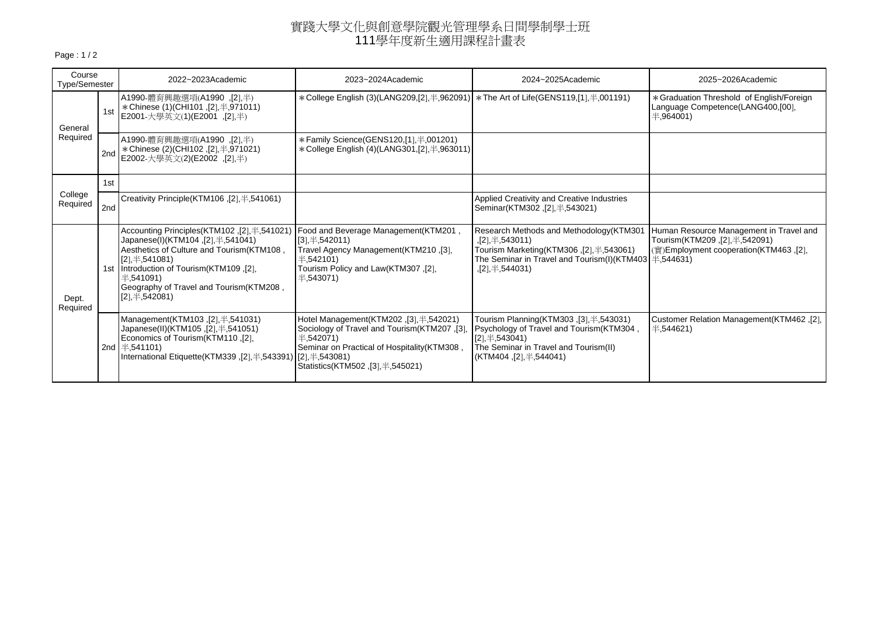### 實踐大學文化與創意學院觀光管理學系日間學制學士班 111學年度新生適用課程計畫表

| Course<br>Type/Semester |                 | 2022~2023Academic                                                                                                                                                                                                                                                                            | 2023~2024Academic                                                                                                                                                                                      | 2024~2025Academic                                                                                                                                                                                                              | 2025~2026Academic                                                                                                         |
|-------------------------|-----------------|----------------------------------------------------------------------------------------------------------------------------------------------------------------------------------------------------------------------------------------------------------------------------------------------|--------------------------------------------------------------------------------------------------------------------------------------------------------------------------------------------------------|--------------------------------------------------------------------------------------------------------------------------------------------------------------------------------------------------------------------------------|---------------------------------------------------------------------------------------------------------------------------|
| General<br>Required     | 1st             | A1990-體育興趣選項(A1990,[2],半)<br>kChinese (1)(CHI101,[2], #,971011)<br>E2001-大學英文(1)(E2001, [2],半)                                                                                                                                                                                               | $\star$ College English (3)(LANG209,[2], $\#$ ,962091)] $\star$ The Art of Life(GENS119,[1], $\#$ ,001191)                                                                                             |                                                                                                                                                                                                                                | * Graduation Threshold of English/Foreign<br>Language Competence(LANG400,[00],<br>4.964001                                |
|                         | 2 <sub>nd</sub> | A1990-體育興趣選項(A1990, [2],半)<br>k Chinese (2)(CHI102 ,[2], ¥,971021)<br>E2002-大學英文(2)(E2002,[2],半)                                                                                                                                                                                             | * Family Science(GENS120,[1], #,001201)<br>*College English (4)(LANG301, [2], 半, 963011)                                                                                                               |                                                                                                                                                                                                                                |                                                                                                                           |
|                         | 1st             |                                                                                                                                                                                                                                                                                              |                                                                                                                                                                                                        |                                                                                                                                                                                                                                |                                                                                                                           |
| College<br>Required     | 2nd             | Creativity Principle(KTM106,[2], $\neq$ ,541061)                                                                                                                                                                                                                                             |                                                                                                                                                                                                        | Applied Creativity and Creative Industries<br>Seminar(KTM302, [2], $\neq$ , 543021)                                                                                                                                            |                                                                                                                           |
| Dept.<br>Required       |                 | Accounting Principles(KTM102,[2], #,541021)<br>Japanese(I)(KTM104, [2], $\neq$ , 541041)<br>Aesthetics of Culture and Tourism (KTM108,<br>[[2].半.541081)<br>1st   Introduction of Tourism (KTM109, [2],<br>$\pm$ ,541091)<br>Geography of Travel and Tourism (KTM208,<br>[2], $\#$ , 542081) | Food and Beverage Management(KTM201,<br>$[3]$ $\#$ , 542011)<br>Travel Agency Management(KTM210, [3],<br>4.542101<br>Tourism Policy and Law(KTM307,[2],<br>4.543071                                    | Research Methods and Methodology (KTM301<br>$, [2], \pm, 543011)$<br>Tourism Marketing(KTM306,[2], $\neq$ ,543061)<br>The Seminar in Travel and Tourism(I)(KTM403 $\mid \frac{\text{4}}{1}$ , 544631)<br>$, [2], \pm, 544031)$ | Human Resource Management in Travel and<br>Tourism(KTM209, [2], $\neq$ , 542091)<br>(實)Employment cooperation(KTM463,[2], |
|                         |                 | Management(KTM103,[2], #,541031)<br>Japanese(II)(KTM105, [2], $\#$ , 541051)<br>.[2], Economics of Tourism(KTM110)<br>2nd $\neq$ 541101)<br>International Etiquette(KTM339, [2], $\neq$ , 543391) [2], $\neq$ , 543081)                                                                      | Hotel Management(KTM202 ,[3], \times, 542021)<br>Sociology of Travel and Tourism (KTM207, [3].<br>4.542071<br>Seminar on Practical of Hospitality (KTM308,<br>Statistics(KTM502, [3], $\neq$ , 545021) | Tourism Planning(KTM303,[3], $\neq$ ,543031)<br>Psychology of Travel and Tourism (KTM304,<br>$[2]$ $\pm$ 543041)<br>The Seminar in Travel and Tourism(II)<br>(KTM404 ,[2], ¥,544041)                                           | Customer Relation Management(KTM462,[2],<br>$\pm$ ,544621)                                                                |